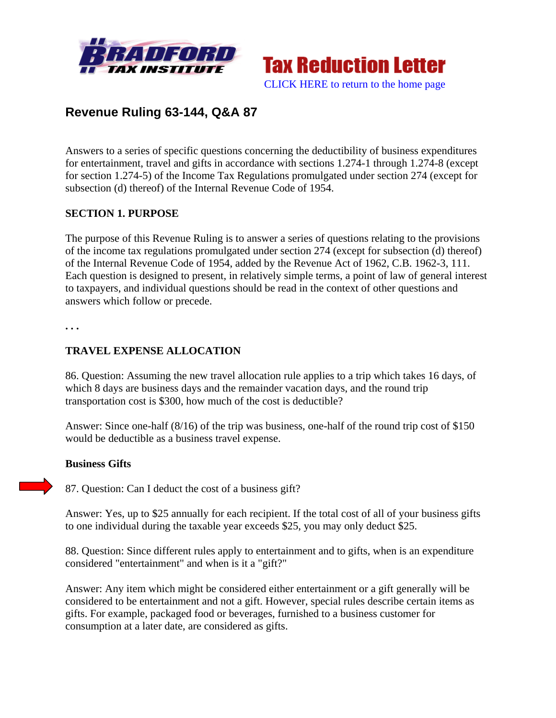



# **Revenue Ruling 63-144, Q&A 87**

Answers to a series of specific questions concerning the deductibility of business expenditures for entertainment, travel and gifts in accordance with sections 1.274-1 through 1.274-8 (except for section 1.274-5) of the Income Tax Regulations promulgated under section 274 (except for subsection (d) thereof) of the Internal Revenue Code of 1954.

#### **SECTION 1. PURPOSE**

The purpose of this Revenue Ruling is to answer a series of questions relating to the provisions of the income tax regulations promulgated under section 274 (except for subsection (d) thereof) of the Internal Revenue Code of 1954, added by the Revenue Act of 1962, C.B. 1962-3, 111. Each question is designed to present, in relatively simple terms, a point of law of general interest to taxpayers, and individual questions should be read in the context of other questions and answers which follow or precede.

**. . .** 

### **TRAVEL EXPENSE ALLOCATION**

86. Question: Assuming the new travel allocation rule applies to a trip which takes 16 days, of which 8 days are business days and the remainder vacation days, and the round trip transportation cost is \$300, how much of the cost is deductible?

Answer: Since one-half (8/16) of the trip was business, one-half of the round trip cost of \$150 would be deductible as a business travel expense.

#### **Business Gifts**

87. Question: Can I deduct the cost of a business gift?

Answer: Yes, up to \$25 annually for each recipient. If the total cost of all of your business gifts to one individual during the taxable year exceeds \$25, you may only deduct \$25.

88. Question: Since different rules apply to entertainment and to gifts, when is an expenditure considered "entertainment" and when is it a "gift?"

Answer: Any item which might be considered either entertainment or a gift generally will be considered to be entertainment and not a gift. However, special rules describe certain items as gifts. For example, packaged food or beverages, furnished to a business customer for consumption at a later date, are considered as gifts.